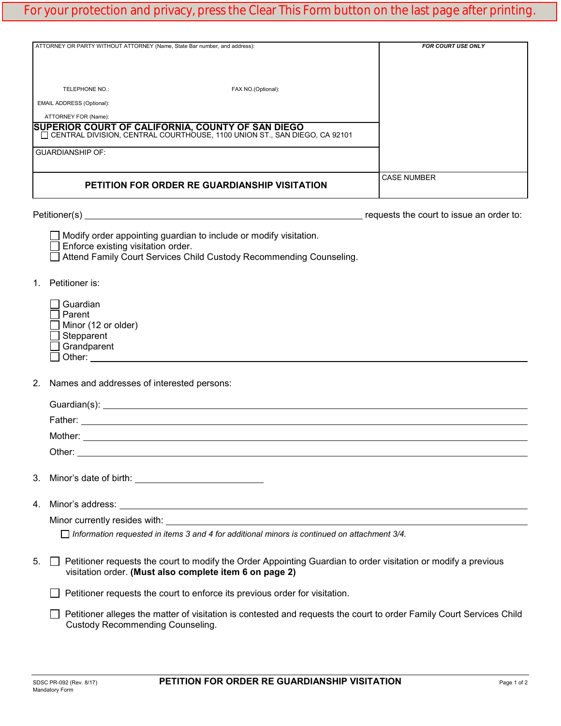| ATTORNEY OR PARTY WITHOUT ATTORNEY (Name, State Bar number, and address):<br>TELEPHONE NO.:                                             | FAX NO.(Optional): | FOR COURT USE ONLY                       |
|-----------------------------------------------------------------------------------------------------------------------------------------|--------------------|------------------------------------------|
| EMAIL ADDRESS (Optional):                                                                                                               |                    |                                          |
| ATTORNEY FOR (Name):                                                                                                                    |                    |                                          |
| SUPERIOR COURT OF CALIFORNIA, COUNTY OF SAN DIEGO<br>  $\Box$ CENTRAL DIVISION, CENTRAL COURTHOUSE, 1100 UNION ST., SAN DIEGO, CA 92101 |                    |                                          |
| <b>GUARDIANSHIP OF:</b>                                                                                                                 |                    |                                          |
| PETITION FOR ORDER RE GUARDIANSHIP VISITATION                                                                                           |                    | <b>CASE NUMBER</b>                       |
| Petitioner(s)                                                                                                                           |                    | requests the court to issue an order to: |

| $\Box$ Modify order appointing guardian to include or modify visitation. |
|--------------------------------------------------------------------------|
| $\Box$ Enforce existing visitation order.                                |
| — . <i>.</i> . . —                                                       |

Attend Family Court Services Child Custody Recommending Counseling.

1. Petitioner is:

| l Guardian                 |
|----------------------------|
| l Parent                   |
| $\Box$ Minor (12 or older) |
| $\Box$ Stepparent          |
| Grandparent                |
| Other:                     |

2. Names and addresses of interested persons:

| $\Box$ Information requested in items 3 and 4 for additional minors is continued on attachment 3/4. |
|-----------------------------------------------------------------------------------------------------|

5.  $\Box$  Petitioner requests the court to modify the Order Appointing Guardian to order visitation or modify a previous visitation order. **(Must also complete item 6 on page 2)**

 $\Box$  Petitioner requests the court to enforce its previous order for visitation.

 Petitioner alleges the matter of visitation is contested and requests the court to order Family Court Services Child Custody Recommending Counseling.